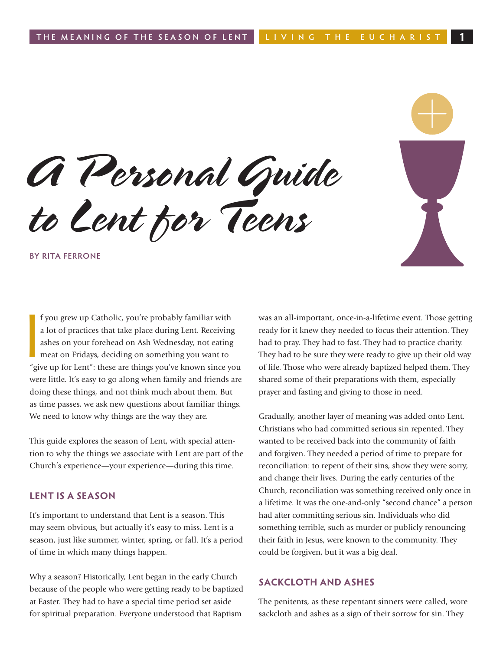*A Personal Guide to Lent for Teens*

**By Rita Ferrone**

**I**<br>
<sup>*I*</sup> gi f you grew up Catholic, you're probably familiar with a lot of practices that take place during Lent. Receiving ashes on your forehead on Ash Wednesday, not eating meat on Fridays, deciding on something you want to "give up for Lent": these are things you've known since you were little. It's easy to go along when family and friends are doing these things, and not think much about them. But as time passes, we ask new questions about familiar things. We need to know why things are the way they are.

This guide explores the season of Lent, with special attention to why the things we associate with Lent are part of the Church's experience—your experience—during this time.

#### **LENT IS A SEASON**

It's important to understand that Lent is a season. This may seem obvious, but actually it's easy to miss. Lent is a season, just like summer, winter, spring, or fall. It's a period of time in which many things happen.

Why a season? Historically, Lent began in the early Church because of the people who were getting ready to be baptized at Easter. They had to have a special time period set aside for spiritual preparation. Everyone understood that Baptism

was an all-important, once-in-a-lifetime event. Those getting ready for it knew they needed to focus their attention. They had to pray. They had to fast. They had to practice charity. They had to be sure they were ready to give up their old way of life. Those who were already baptized helped them. They shared some of their preparations with them, especially prayer and fasting and giving to those in need.

Gradually, another layer of meaning was added onto Lent. Christians who had committed serious sin repented. They wanted to be received back into the community of faith and forgiven. They needed a period of time to prepare for reconciliation: to repent of their sins, show they were sorry, and change their lives. During the early centuries of the Church, reconciliation was something received only once in a lifetime. It was the one-and-only "second chance" a person had after committing serious sin. Individuals who did something terrible, such as murder or publicly renouncing their faith in Jesus, were known to the community. They could be forgiven, but it was a big deal.

#### **SACKCLOTH AND ASHES**

The penitents, as these repentant sinners were called, wore sackcloth and ashes as a sign of their sorrow for sin. They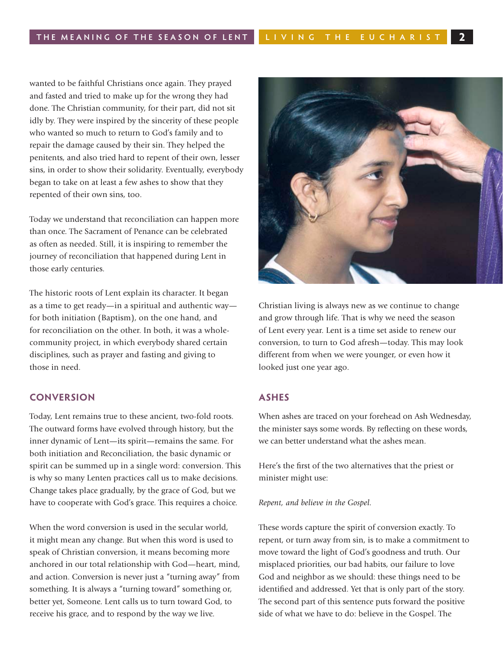wanted to be faithful Christians once again. They prayed and fasted and tried to make up for the wrong they had done. The Christian community, for their part, did not sit idly by. They were inspired by the sincerity of these people who wanted so much to return to God's family and to repair the damage caused by their sin. They helped the penitents, and also tried hard to repent of their own, lesser sins, in order to show their solidarity. Eventually, everybody began to take on at least a few ashes to show that they repented of their own sins, too.

Today we understand that reconciliation can happen more than once. The Sacrament of Penance can be celebrated as often as needed. Still, it is inspiring to remember the journey of reconciliation that happened during Lent in those early centuries.

The historic roots of Lent explain its character. It began as a time to get ready—in a spiritual and authentic way for both initiation (Baptism), on the one hand, and for reconciliation on the other. In both, it was a wholecommunity project, in which everybody shared certain disciplines, such as prayer and fasting and giving to those in need.

#### **CONVERSION**

Today, Lent remains true to these ancient, two-fold roots. The outward forms have evolved through history, but the inner dynamic of Lent—its spirit—remains the same. For both initiation and Reconciliation, the basic dynamic or spirit can be summed up in a single word: conversion. This is why so many Lenten practices call us to make decisions. Change takes place gradually, by the grace of God, but we have to cooperate with God's grace. This requires a choice.

When the word conversion is used in the secular world, it might mean any change. But when this word is used to speak of Christian conversion, it means becoming more anchored in our total relationship with God—heart, mind, and action. Conversion is never just a "turning away" from something. It is always a "turning toward" something or, better yet, Someone. Lent calls us to turn toward God, to receive his grace, and to respond by the way we live.



Christian living is always new as we continue to change and grow through life. That is why we need the season of Lent every year. Lent is a time set aside to renew our conversion, to turn to God afresh—today. This may look different from when we were younger, or even how it looked just one year ago.

#### **ASHES**

When ashes are traced on your forehead on Ash Wednesday, the minister says some words. By reflecting on these words, we can better understand what the ashes mean.

Here's the first of the two alternatives that the priest or minister might use:

*Repent, and believe in the Gospel.*

These words capture the spirit of conversion exactly. To repent, or turn away from sin, is to make a commitment to move toward the light of God's goodness and truth. Our misplaced priorities, our bad habits, our failure to love God and neighbor as we should: these things need to be identified and addressed. Yet that is only part of the story. The second part of this sentence puts forward the positive side of what we have to do: believe in the Gospel. The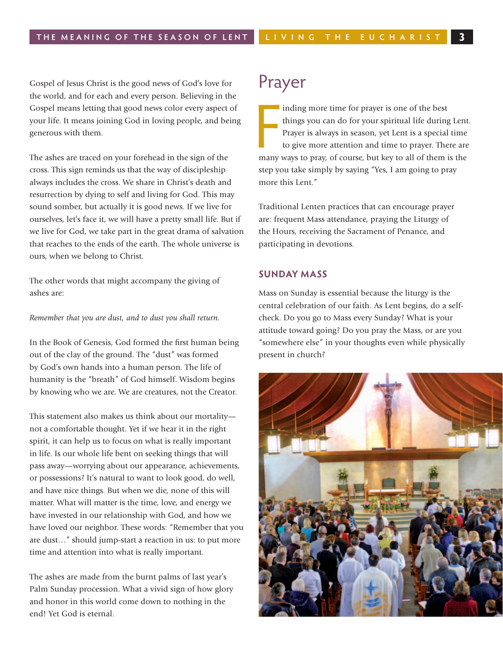Gospel of Jesus Christ is the good news of God's love for the world, and for each and every person. Believing in the Gospel means letting that good news color every aspect of your life. It means joining God in loving people, and being generous with them.

The ashes are traced on your forehead in the sign of the cross. This sign reminds us that the way of discipleship always includes the cross. We share in Christ's death and resurrection by dying to self and living for God. This may sound somber, but actually it is good news. If we live for ourselves, let's face it, we will have a pretty small life. But if we live for God, we take part in the great drama of salvation that reaches to the ends of the earth. The whole universe is ours, when we belong to Christ.

The other words that might accompany the giving of ashes are:

*Remember that you are dust, and to dust you shall return.*

In the Book of Genesis, God formed the first human being out of the clay of the ground. The "dust" was formed by God's own hands into a human person. The life of humanity is the "breath" of God himself. Wisdom begins by knowing who we are. We are creatures, not the Creator.

This statement also makes us think about our mortality not a comfortable thought. Yet if we hear it in the right spirit, it can help us to focus on what is really important in life. Is our whole life bent on seeking things that will pass away—worrying about our appearance, achievements, or possessions? It's natural to want to look good, do well, and have nice things. But when we die, none of this will matter. What will matter is the time, love, and energy we have invested in our relationship with God, and how we have loved our neighbor. These words: "Remember that you are dust…" should jump-start a reaction in us: to put more time and attention into what is really important.

The ashes are made from the burnt palms of last year's Palm Sunday procession. What a vivid sign of how glory and honor in this world come down to nothing in the end! Yet God is eternal.

### Prayer

inding more time for prayer is one of the best<br>things you can do for your spiritual life during Lent<br>Prayer is always in season, yet Lent is a special time<br>to give more attention and time to prayer. There are<br>many ways to inding more time for prayer is one of the best things you can do for your spiritual life during Lent. Prayer is always in season, yet Lent is a special time to give more attention and time to prayer. There are step you take simply by saying "Yes, I am going to pray more this Lent."

Traditional Lenten practices that can encourage prayer are: frequent Mass attendance, praying the Liturgy of the Hours, receiving the Sacrament of Penance, and participating in devotions.

#### **Sunday Mass**

Mass on Sunday is essential because the liturgy is the central celebration of our faith. As Lent begins, do a selfcheck. Do you go to Mass every Sunday? What is your attitude toward going? Do you pray the Mass, or are you "somewhere else" in your thoughts even while physically present in church?

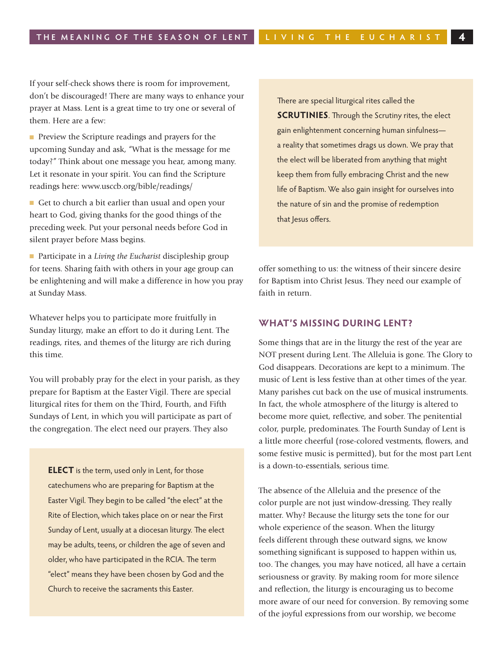If your self-check shows there is room for improvement, don't be discouraged! There are many ways to enhance your prayer at Mass. Lent is a great time to try one or several of them. Here are a few:

**n** Preview the Scripture readings and prayers for the upcoming Sunday and ask, "What is the message for me today?" Think about one message you hear, among many. Let it resonate in your spirit. You can find the Scripture readings here: www.usccb.org/bible/readings/

■ Get to church a bit earlier than usual and open your heart to God, giving thanks for the good things of the preceding week. Put your personal needs before God in silent prayer before Mass begins.

■ Participate in a *Living the Eucharist* discipleship group for teens. Sharing faith with others in your age group can be enlightening and will make a difference in how you pray at Sunday Mass.

Whatever helps you to participate more fruitfully in Sunday liturgy, make an effort to do it during Lent. The readings, rites, and themes of the liturgy are rich during this time.

You will probably pray for the elect in your parish, as they prepare for Baptism at the Easter Vigil. There are special liturgical rites for them on the Third, Fourth, and Fifth Sundays of Lent, in which you will participate as part of the congregation. The elect need our prayers. They also

**ELECT** is the term, used only in Lent, for those catechumens who are preparing for Baptism at the Easter Vigil. They begin to be called "the elect" at the Rite of Election, which takes place on or near the First Sunday of Lent, usually at a diocesan liturgy. The elect may be adults, teens, or children the age of seven and older, who have participated in the RCIA. The term "elect" means they have been chosen by God and the Church to receive the sacraments this Easter.

There are special liturgical rites called the **SCRUTINIES**. Through the Scrutiny rites, the elect gain enlightenment concerning human sinfulness a reality that sometimes drags us down. We pray that the elect will be liberated from anything that might keep them from fully embracing Christ and the new life of Baptism. We also gain insight for ourselves into the nature of sin and the promise of redemption that Jesus offers.

offer something to us: the witness of their sincere desire for Baptism into Christ Jesus. They need our example of faith in return.

#### **What's Missing During Lent?**

Some things that are in the liturgy the rest of the year are NOT present during Lent. The Alleluia is gone. The Glory to God disappears. Decorations are kept to a minimum. The music of Lent is less festive than at other times of the year. Many parishes cut back on the use of musical instruments. In fact, the whole atmosphere of the liturgy is altered to become more quiet, reflective, and sober. The penitential color, purple, predominates. The Fourth Sunday of Lent is a little more cheerful (rose-colored vestments, flowers, and some festive music is permitted), but for the most part Lent is a down-to-essentials, serious time.

The absence of the Alleluia and the presence of the color purple are not just window-dressing. They really matter. Why? Because the liturgy sets the tone for our whole experience of the season. When the liturgy feels different through these outward signs, we know something significant is supposed to happen within us, too. The changes, you may have noticed, all have a certain seriousness or gravity. By making room for more silence and reflection, the liturgy is encouraging us to become more aware of our need for conversion. By removing some of the joyful expressions from our worship, we become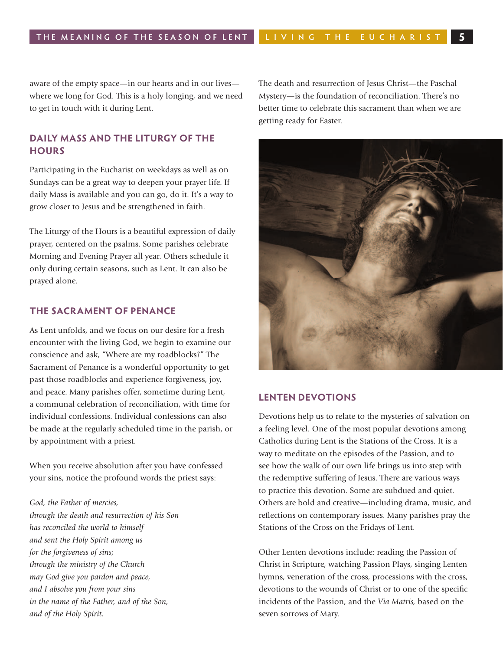aware of the empty space—in our hearts and in our lives where we long for God. This is a holy longing, and we need to get in touch with it during Lent.

#### **Daily Mass and the Liturgy of the Hours**

Participating in the Eucharist on weekdays as well as on Sundays can be a great way to deepen your prayer life. If daily Mass is available and you can go, do it. It's a way to grow closer to Jesus and be strengthened in faith.

The Liturgy of the Hours is a beautiful expression of daily prayer, centered on the psalms. Some parishes celebrate Morning and Evening Prayer all year. Others schedule it only during certain seasons, such as Lent. It can also be prayed alone.

#### **The Sacrament of Penance**

As Lent unfolds, and we focus on our desire for a fresh encounter with the living God, we begin to examine our conscience and ask, "Where are my roadblocks?" The Sacrament of Penance is a wonderful opportunity to get past those roadblocks and experience forgiveness, joy, and peace. Many parishes offer, sometime during Lent, a communal celebration of reconciliation, with time for individual confessions. Individual confessions can also be made at the regularly scheduled time in the parish, or by appointment with a priest.

When you receive absolution after you have confessed your sins, notice the profound words the priest says:

*God, the Father of mercies, through the death and resurrection of his Son has reconciled the world to himself and sent the Holy Spirit among us for the forgiveness of sins; through the ministry of the Church may God give you pardon and peace, and I absolve you from your sins in the name of the Father, and of the Son, and of the Holy Spirit.*

The death and resurrection of Jesus Christ—the Paschal Mystery—is the foundation of reconciliation. There's no better time to celebrate this sacrament than when we are getting ready for Easter.



#### **Lenten Devotions**

Devotions help us to relate to the mysteries of salvation on a feeling level. One of the most popular devotions among Catholics during Lent is the Stations of the Cross. It is a way to meditate on the episodes of the Passion, and to see how the walk of our own life brings us into step with the redemptive suffering of Jesus. There are various ways to practice this devotion. Some are subdued and quiet. Others are bold and creative—including drama, music, and reflections on contemporary issues. Many parishes pray the Stations of the Cross on the Fridays of Lent.

Other Lenten devotions include: reading the Passion of Christ in Scripture, watching Passion Plays, singing Lenten hymns, veneration of the cross, processions with the cross, devotions to the wounds of Christ or to one of the specific incidents of the Passion, and the *Via Matris,* based on the seven sorrows of Mary.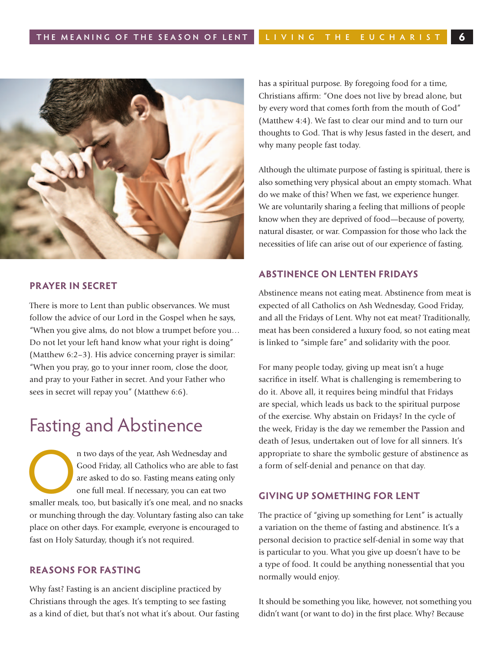

#### **Prayer in Secret**

There is more to Lent than public observances. We must follow the advice of our Lord in the Gospel when he says, "When you give alms, do not blow a trumpet before you… Do not let your left hand know what your right is doing" (Matthew 6:2–3). His advice concerning prayer is similar: "When you pray, go to your inner room, close the door, and pray to your Father in secret. And your Father who sees in secret will repay you" (Matthew 6:6).

## Fasting and Abstinence

n two days of the year, Ash Wednesday and Good Friday, all Catholics who are able to fast are asked to do so. Fasting means eating only one full meal. If necessary, you can eat two smaller meals, too, but basically it's on Good Friday, all Catholics who are able to fast are asked to do so. Fasting means eating only one full meal. If necessary, you can eat two or munching through the day. Voluntary fasting also can take place on other days. For example, everyone is encouraged to fast on Holy Saturday, though it's not required.

#### **Reasons for Fasting**

Why fast? Fasting is an ancient discipline practiced by Christians through the ages. It's tempting to see fasting as a kind of diet, but that's not what it's about. Our fasting has a spiritual purpose. By foregoing food for a time, Christians affirm: "One does not live by bread alone, but by every word that comes forth from the mouth of God" (Matthew 4:4). We fast to clear our mind and to turn our thoughts to God. That is why Jesus fasted in the desert, and why many people fast today.

Although the ultimate purpose of fasting is spiritual, there is also something very physical about an empty stomach. What do we make of this? When we fast, we experience hunger. We are voluntarily sharing a feeling that millions of people know when they are deprived of food—because of poverty, natural disaster, or war. Compassion for those who lack the necessities of life can arise out of our experience of fasting.

#### **Abstinence on Lenten Fridays**

Abstinence means not eating meat. Abstinence from meat is expected of all Catholics on Ash Wednesday, Good Friday, and all the Fridays of Lent. Why not eat meat? Traditionally, meat has been considered a luxury food, so not eating meat is linked to "simple fare" and solidarity with the poor.

For many people today, giving up meat isn't a huge sacrifice in itself. What is challenging is remembering to do it. Above all, it requires being mindful that Fridays are special, which leads us back to the spiritual purpose of the exercise. Why abstain on Fridays? In the cycle of the week, Friday is the day we remember the Passion and death of Jesus, undertaken out of love for all sinners. It's appropriate to share the symbolic gesture of abstinence as a form of self-denial and penance on that day.

#### **GIVING UP SOMETHING FOR LENT**

The practice of "giving up something for Lent" is actually a variation on the theme of fasting and abstinence. It's a personal decision to practice self-denial in some way that is particular to you. What you give up doesn't have to be a type of food. It could be anything nonessential that you normally would enjoy.

It should be something you like, however, not something you didn't want (or want to do) in the first place. Why? Because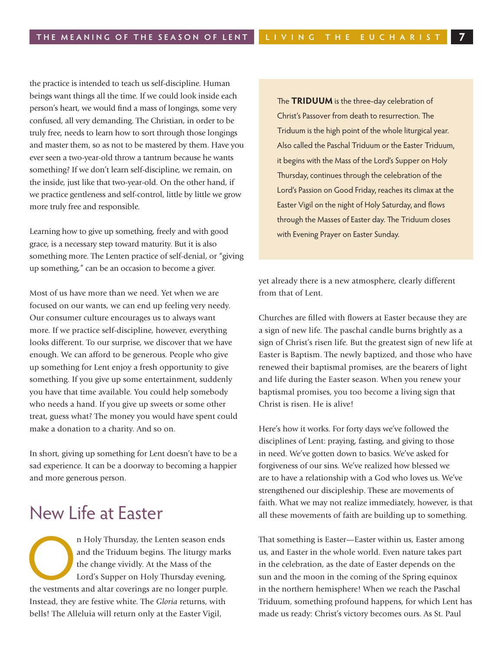the practice is intended to teach us self-discipline. Human beings want things all the time. If we could look inside each person's heart, we would find a mass of longings, some very confused, all very demanding. The Christian, in order to be truly free, needs to learn how to sort through those longings and master them, so as not to be mastered by them. Have you ever seen a two-year-old throw a tantrum because he wants something? If we don't learn self-discipline, we remain, on the inside, just like that two-year-old. On the other hand, if we practice gentleness and self-control, little by little we grow more truly free and responsible.

Learning how to give up something, freely and with good grace, is a necessary step toward maturity. But it is also something more. The Lenten practice of self-denial, or "giving up something," can be an occasion to become a giver.

Most of us have more than we need. Yet when we are focused on our wants, we can end up feeling very needy. Our consumer culture encourages us to always want more. If we practice self-discipline, however, everything looks different. To our surprise, we discover that we have enough. We can afford to be generous. People who give up something for Lent enjoy a fresh opportunity to give something. If you give up some entertainment, suddenly you have that time available. You could help somebody who needs a hand. If you give up sweets or some other treat, guess what? The money you would have spent could make a donation to a charity. And so on.

In short, giving up something for Lent doesn't have to be a sad experience. It can be a doorway to becoming a happier and more generous person.

# New Life at Easter

n Holy Thursday, the Lenten season ends<br>
and the Triduum begins. The liturgy marks<br>
the change vividly. At the Mass of the<br>
Lord's Supper on Holy Thursday evening,<br>
the vestments and altar coverings are no longer purple. and the Triduum begins. The liturgy marks the change vividly. At the Mass of the Lord's Supper on Holy Thursday evening, Instead, they are festive white. The *Gloria* returns, with bells! The Alleluia will return only at the Easter Vigil,

The **TRIDUUM** is the three-day celebration of Christ's Passover from death to resurrection. The Triduum is the high point of the whole liturgical year. Also called the Paschal Triduum or the Easter Triduum, it begins with the Mass of the Lord's Supper on Holy Thursday, continues through the celebration of the Lord's Passion on Good Friday, reaches its climax at the Easter Vigil on the night of Holy Saturday, and flows through the Masses of Easter day. The Triduum closes with Evening Prayer on Easter Sunday.

yet already there is a new atmosphere, clearly different from that of Lent.

Churches are filled with flowers at Easter because they are a sign of new life. The paschal candle burns brightly as a sign of Christ's risen life. But the greatest sign of new life at Easter is Baptism. The newly baptized, and those who have renewed their baptismal promises, are the bearers of light and life during the Easter season. When you renew your baptismal promises, you too become a living sign that Christ is risen. He is alive!

Here's how it works. For forty days we've followed the disciplines of Lent: praying, fasting, and giving to those in need. We've gotten down to basics. We've asked for forgiveness of our sins. We've realized how blessed we are to have a relationship with a God who loves us. We've strengthened our discipleship. These are movements of faith. What we may not realize immediately, however, is that all these movements of faith are building up to something.

That something is Easter—Easter within us, Easter among us, and Easter in the whole world. Even nature takes part in the celebration, as the date of Easter depends on the sun and the moon in the coming of the Spring equinox in the northern hemisphere! When we reach the Paschal Triduum, something profound happens, for which Lent has made us ready: Christ's victory becomes ours. As St. Paul